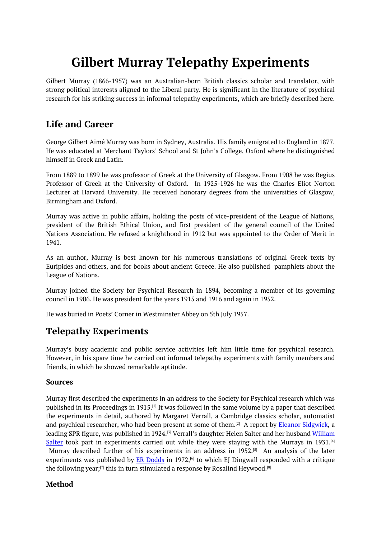# **Gilbert Murray Telepathy Experiments**

<span id="page-0-0"></span>Gilbert Murray (1866-1957) was an Australian-born British classics scholar and translator, with strong political interests aligned to the Liberal party. He is significant in the literature of psychical research for his striking success in informal telepathy experiments, which are briefly described here.

# **Life and Career**

George Gilbert Aimé Murray was born in Sydney, Australia. His family emigrated to England in 1877. He was educated at Merchant Taylors' School and St John's College, Oxford where he distinguished himself in Greek and Latin.

From 1889 to 1899 he was professor of Greek at the University of Glasgow. From 1908 he was Regius Professor of Greek at the University of Oxford. In 1925-1926 he was the Charles Eliot Norton Lecturer at Harvard University. He received honorary degrees from the universities of Glasgow, Birmingham and Oxford.

Murray was active in public affairs, holding the posts of vice-president of the League of Nations, president of the British Ethical Union, and first president of the general council of the United Nations Association. He refused a knighthood in 1912 but was appointed to the Order of Merit in 1941.

As an author, Murray is best known for his numerous translations of original Greek texts by Euripides and others, and for books about ancient Greece. He also published pamphlets about the League of Nations.

Murray joined the Society for Psychical Research in 1894, becoming a member of its governing council in 1906. He was president for the years 1915 and 1916 and again in 1952.

He was buried in Poets' Corner in Westminster Abbey on 5th July 1957.

# **Telepathy Experiments**

Murray's busy academic and public service activities left him little time for psychical research. However, in his spare time he carried out informal telepathy experiments with family members and friends, in which he showed remarkable aptitude.

#### **Sources**

Murray first described the experiments in an address to the Society for Psychical research which was published in its Proceedings in 1915. [1] It was followed in the same volume by a paper that described the experiments in detail, authored by Margaret Verrall, a Cambridge classics scholar, automatist and psychical researcher, who had been present at some of them.<sup>[2]</sup> A report by <u>Eleanor Sidgwick</u>, **a** leading SPR figure, was published in [19](#page-0-0)24.<sup>[3]</sup> Verrall's daughter Helen Salter and her husband <u>William</u> Salter took part in experiments carried out while they were staying with the Murrays in 1931.<sup>[4]</sup> Murray described further of his experiments in an address in  $1952.^{[5]}$  $1952.^{[5]}$  An analysis of the later experiments was published by <u>ER Dodds</u> [in](#page-0-0) 1972,<sup>[6]</sup> to which EJ Dingwall responded with a critique the following year; $^{[7]}$  this in turn stimulated a response by Rosalind Heywood. $^{[8]}$ 

#### **Method**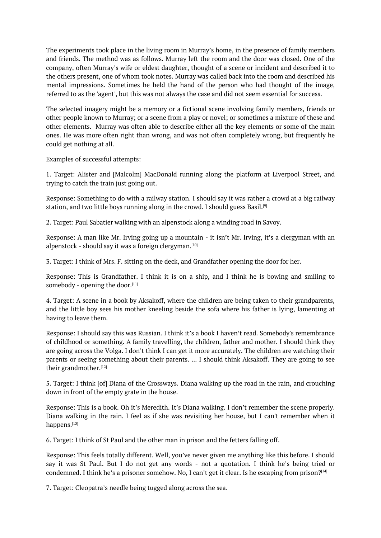The experiments took place in the living room in Murray's home, in the presence of family members and friends. The method was as follows. Murray left the room and the door was closed. One of the company, often Murray's wife or eldest daughter, thought of a scene or incident and described it to the others present, one of whom took notes. Murray was called back into the room and described his mental impressions. Sometimes he held the hand of the person who had thought of the image, referred to as the 'agent', but this was not always the case and did not seem essential for success.

The selected imagery might be a memory or a fictional scene involving family members, friends or other people known to Murray; or a scene from a play or novel; or sometimes a mixture of these and other elements. Murray was often able to describe either all the key elements or some of the main ones. He was more often right than wrong, and was not often completely wrong, but frequently he could get nothing at all.

Examples of successful attempts:

1. Target: Alister and [Malcolm] MacDonald running along the platform at Liverpool Street, and trying to catch the train just going out.

Response: Something to do with a railway station. I should say it was rather a crowd at a big railway station, and two little boys running along in the crowd. I should guess Basil. [9]

2. Target: Paul Sabatier walking with an alpenstock along a winding road in Savoy.

Response: A man like Mr. Irving going up a mountain - it isn't Mr. Irving, [it](#page-0-0)'s a clergyman with an alpenstock - should say it was a foreign clergyman.<sup>[10]</sup>

3. Target: I think of Mrs. F. sitting on the deck, and Grandfather opening the door for her.

Response: This is Grandfather. I think it is on a [s](#page-0-0)hip, and I think he is bowing and smiling to somebody - opening the door.<sup>[11]</sup>

4. Target: A scene in a book by Aksakoff, where the children are being taken to their grandparents, and the little boy sees his mother kneeling beside the sofa where his father is lying, lamenting at having to leave them.

Response: I should say this was Russian. I think it's a book I haven't read. Somebody's remembrance of childhood or something. A family travelling, the children, father and mother. I should think they are going across the Volga. I don't think I can get it more accurately. The children are watching their parents or seeing something about their parents. ... I should think Aksakoff. They are going to see their grandmother. [12]

5. Target: I think [of] Diana of the Crossways. Diana walking up the road in the rain, and crouching down in front of the empty grate in the house.

Response: This is a book. Oh it's Meredith. It's Diana walking. I don't remember the scene properly. Diana walking in the rain. I feel as if she was revisiting her house, but I can't remember when it happens. [13]

6. Target: I think of St Paul and the other man in prison and the fetters falling off.

Respons[e:](#page-0-0) This feels totally different. Well, you've never given me anything like this before. I should say it was St Paul. But I do not get any words - not a quotation. I think he's being tried or condemned. I think he's a prisoner somehow. No, I can't get it clear. Is he escaping from prison? [14]

7. Target: Cleopatra's needle being tugged along across the sea.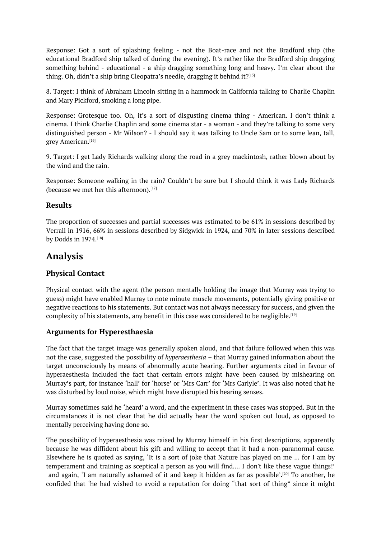Response: Got a sort of splashing feeling - not the Boat-race and not the Bradford ship (the educational Bradford ship talked of during the evening). It's rather like the Bradford ship dragging something behind - educational - a ship dragging something long and heavy. I'm clear about the thing. Oh, didn't a ship bring Cleopatra's needle, dragging it behind it?[15]

8. Target: I think of Abraham Lincoln sitting in a hammock in California talking to Charlie Chaplin and Mary Pickford, smoking a long pipe.

Response: Grotesque too. Oh, it's a sort of disgusting cinema thing - American. I don't think a cinema. I think Charlie Chaplin and some cinema star - a woman - and they're talking to some very distinguished person - Mr Wilson? - I should say it was talking to Uncle Sam or to some lean, tall, grey American. [16]

9. Target: I get Lady Richards walking along the road in a grey mackintosh, rather blown about by the wind and t[he](#page-0-0) rain.

Response: Someone walking in the rain? Couldn't be sure but I should think it was Lady Richards (because we met her this afternoon). [17]

#### **Results**

The proportion of successes and pa[rtia](#page-0-0)l successes was estimated to be 61% in sessions described by Verrall in 1916, 66% in sessions described by Sidgwick in 1924, and 70% in later sessions described by Dodds in 1974.<sup>[18]</sup>

## **Analysis**

#### **Physical Cont[act](#page-0-0)**

Physical contact with the agent (the person mentally holding the image that Murray was trying to guess) might have enabled Murray to note minute muscle movements, potentially giving positive or negative reactions to his statements. But contact was not always necessary for success, and given the complexity of his statements, any benefit in this case was considered to be negligible.<sup>[19]</sup>

#### **Arguments for Hyperesthaesia**

The fact that the target image was generally spoken aloud, and that failure followed [w](#page-0-0)hen this was not the case, suggested the possibility of *hyperaesthesia –* that Murray gained information about the target unconsciously by means of abnormally acute hearing. Further arguments cited in favour of hyperaesthesia included the fact that certain errors might have been caused by mishearing on Murray's part, for instance 'hall' for 'horse' or 'Mrs Carr' for 'Mrs Carlyle'. It was also noted that he was disturbed by loud noise, which might have disrupted his hearing senses.

Murray sometimes said he 'heard' a word, and the experiment in these cases was stopped. But in the circumstances it is not clear that he did actually hear the word spoken out loud, as opposed to mentally perceiving having done so.

The possibility of hyperaesthesia was raised by Murray himself in his first descriptions, apparently because he was diffident about his gift and willing to accept that it had a non-paranormal cause. Elsewhere he is quoted as saying, 'It is a sort of joke that Nature has played on me ... for I am by temperament and training as sceptical a person as you will find.... I don't like these vague things!' and again, 'I am naturally ashamed of it and keep it hidden as far as possible'.<sup>[20]</sup> To another, he confided that 'he had wished to avoid a reputation for doing "that sort of thing" since it might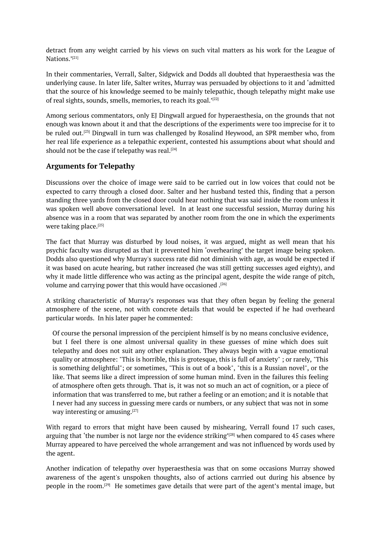detract from any weight carried by his views on such vital matters as his work for the League of Nations.'<sup>[21]</sup>

In their commentaries, Verrall, Salter, Sidgwick and Dodds all doubted that hyperaesthesia was the underlying cause. In later life, Salter writes, Murray was persuaded by objections to it and 'admitted that the [sou](#page-0-0)rce of his knowledge seemed to be mainly telepathic, though telepathy might make use of real sights, sounds, smells, memories, to reach its goal.' [22]

Among serious commentators, only EJ Dingwall argued for hyperaesthesia, on the grounds that not enough was known about it and that the descriptions of the experiments were too imprecise for it to be ruled out. [23] Dingwall in turn was challenged by Rosa[lin](#page-0-0)d Heywood, an SPR member who, from her real life experience as a telepathic experient, contested his assumptions about what should and should not be the case if telepathy was real.  $^{[24]}$ 

#### **Arguments [f](#page-0-0)or Telepathy**

Discussions over the choice of image were [s](#page-0-0)aid to be carried out in low voices that could not be expected to carry through a closed door. Salter and her husband tested this, finding that a person standing three yards from the closed door could hear nothing that was said inside the room unless it was spoken well above conversational level. In at least one successful session, Murray during his absence was in a room that was separated by another room from the one in which the experiments were taking place. [25]

The fact that Murray was disturbed by loud noises, it was argued, might as well mean that his psychic faculty was disrupted as that it prevented him 'overhearing' the target image being spoken. Dodds also questi[one](#page-0-0)d why Murray's success rate did not diminish with age, as would be expected if it was based on acute hearing, but rather increased (he was still getting successes aged eighty), and why it made little difference who was acting as the principal agent, despite the wide range of pitch, volume and carrying power that this would have occasioned . [26]

A striking characteristic of Murray's responses was that they often began by feeling the general atmosphere of the scene, not with concrete details that would be expected if he had overheard particular words. In his later paper he commented:

Of course the personal impression of the percipient himself is by no means conclusive evidence, but I feel there is one almost universal quality in these guesses of mine which does suit telepathy and does not suit any other explanation. They always begin with a vague emotional quality or atmosphere: "This is horrible, this is grotesque, this is full of anxiety" ; or rarely, "This is something delightful"; or sometimes, "This is out of a book", "this is a Russian novel", or the like. That seems like a direct impression of some human mind. Even in the failures this feeling of atmosphere often gets through. That is, it was not so much an act of cognition, or a piece of information that was transferred to me, but rather a feeling or an emotion; and it is notable that I never had any success in guessing mere cards or numbers, or any subject that was not in some way interesting or amusing.<sup>[27]</sup>

With regard to errors that might have been caused by mishearing, Verrall found 17 such cases, arguing that 'the number is not large nor the evidence striking'<sup>[28]</sup> when compared to 45 cases where Murray appeared to have perc[eiv](#page-0-0)ed the whole arrangement and was not influenced by words used by the agent.

Another indication of telepathy over hyperaesthesia was that [o](#page-0-0)n some occasions Murray showed awareness of the agent's unspoken thoughts, also of actions carrried out during his absence by people in the room.<sup>[29]</sup> He sometimes gave details that were part of the agent's mental image, but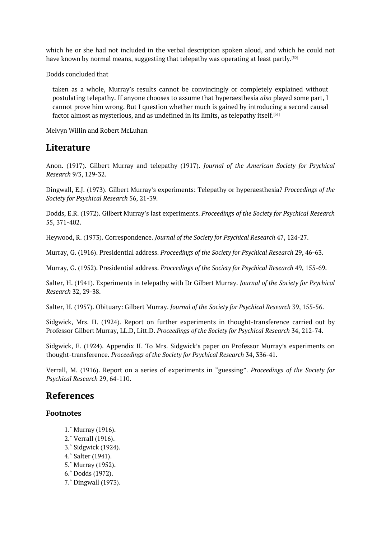which he or she had not included in the verbal description spoken aloud, and which he could not have known by normal means, suggesting that telepathy was operating at least partly. $^{\text{\tiny{[30]}}}$ 

Dodds concluded that

taken as a whole, Murray's results cannot be convincingly or completely expla[ine](#page-0-0)d without postulating telepathy. If anyone chooses to assume that hyperaesthesia *also* played some part, I cannot prove him wrong. But I question whether much is gained by introducing a second causal factor almost as mysterious, and as undefined in its limits, as telepathy itself.<sup>[31]</sup>

Melvyn Willin and Robert McLuhan

### **Literature**

Anon. (1917). Gilbert Murray and telepathy (1917). *Journal of the American Society for Psychical Research* 9/3, 129-32.

Dingwall, E.J. (1973). Gilbert Murray's experiments: Telepathy or hyperaesthesia? *Proceedings of the Society for Psychical Research* 56, 21-39.

Dodds, E.R. (1972). Gilbert Murray's last experiments. *Proceedings of the Society for Psychical Research* 55, 371-402.

Heywood, R. (1973). Correspondence. *Journal of the Society for Psychical Research* 47, 124-27.

Murray, G. (1916). Presidential address. *Proceedings of the Society for Psychical Research* 29, 46-63.

Murray, G. (1952). Presidential address. *Proceedings of the Society for Psychical Research* 49, 155-69.

Salter, H. (1941). Experiments in telepathy with Dr Gilbert Murray. *Journal of the Society for Psychical Research* 32, 29-38.

Salter, H. (1957). Obituary: Gilbert Murray. *Journal of the Society for Psychical Research* 39, 155-56.

Sidgwick, Mrs. H. (1924). Report on further experiments in thought-transference carried out by Professor Gilbert Murray, LL.D, Litt.D. *Proceedings of the Society for Psychical Research* 34, 212-74.

Sidgwick, E. (1924). Appendix II. To Mrs. Sidgwick's paper on Professor Murray's experiments on thought-transference. *Proceedings of the Society for Psychical Research* 34, 336-41.

Verrall, M. (1916). Report on a series of experiments in "guessing". *Proceedings of the Society for Psychical Research* 29, 64-110.

### **References**

#### **Footnotes**

- 1.ˆ Murray (1916).
- 2.ˆ Verrall (1916).
- 3.ˆ Sidgwick (1924).
- 4.ˆ Salter (1941).
- [5.ˆ](#page-0-0) Murray (1952).
- [6.ˆ](#page-0-0) Dodds (1972).
- [7.ˆ](#page-0-0) Dingwall (1973).